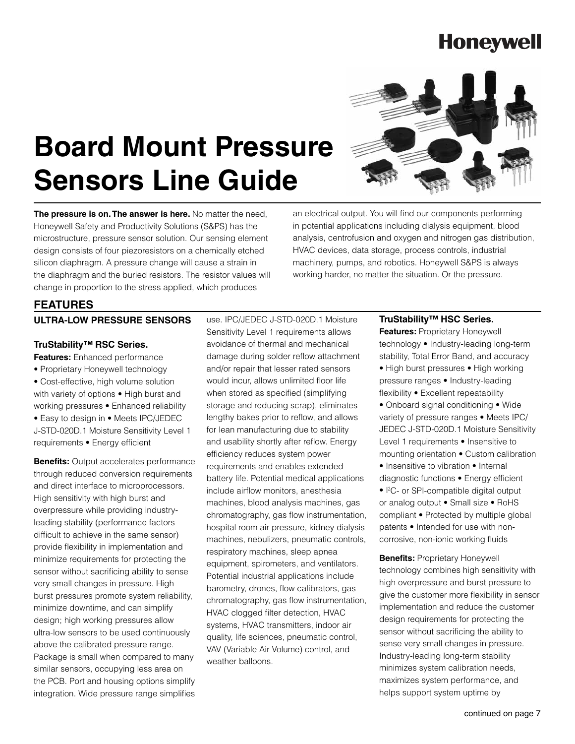# **Board Mount Pressure Sensors Line Guide**



**The pressure is on. The answer is here.** No matter the need. Honeywell Safety and Productivity Solutions (S&PS) has the microstructure, pressure sensor solution. Our sensing element design consists of four piezoresistors on a chemically etched silicon diaphragm. A pressure change will cause a strain in the diaphragm and the buried resistors. The resistor values will change in proportion to the stress applied, which produces

an electrical output. You will find our components performing in potential applications including dialysis equipment, blood analysis, centrofusion and oxygen and nitrogen gas distribution, HVAC devices, data storage, process controls, industrial machinery, pumps, and robotics. Honeywell S&PS is always working harder, no matter the situation. Or the pressure.

#### **FEATURES**

#### **ULTRA-LOW PRESSURE SENSORS**

#### **TruStability™ RSC Series.**

**Features:** Enhanced performance • Proprietary Honeywell technology • Cost-effective, high volume solution with variety of options • High burst and working pressures • Enhanced reliability • Easy to design in • Meets IPC/JEDEC J-STD-020D.1 Moisture Sensitivity Level 1 requirements • Energy efficient

**Benefits:** Output accelerates performance through reduced conversion requirements and direct interface to microprocessors. High sensitivity with high burst and overpressure while providing industryleading stability (performance factors difficult to achieve in the same sensor) provide flexibility in implementation and minimize requirements for protecting the sensor without sacrificing ability to sense very small changes in pressure. High burst pressures promote system reliability, minimize downtime, and can simplify design; high working pressures allow ultra-low sensors to be used continuously above the calibrated pressure range. Package is small when compared to many similar sensors, occupying less area on the PCB. Port and housing options simplify integration. Wide pressure range simplifies

use. IPC/JEDEC J-STD-020D.1 Moisture Sensitivity Level 1 requirements allows avoidance of thermal and mechanical damage during solder reflow attachment and/or repair that lesser rated sensors would incur, allows unlimited floor life when stored as specified (simplifying storage and reducing scrap), eliminates lengthy bakes prior to reflow, and allows for lean manufacturing due to stability and usability shortly after reflow. Energy efficiency reduces system power requirements and enables extended battery life. Potential medical applications include airflow monitors, anesthesia machines, blood analysis machines, gas chromatography, gas flow instrumentation, hospital room air pressure, kidney dialysis machines, nebulizers, pneumatic controls, respiratory machines, sleep apnea equipment, spirometers, and ventilators. Potential industrial applications include barometry, drones, flow calibrators, gas chromatography, gas flow instrumentation, HVAC clogged filter detection, HVAC systems, HVAC transmitters, indoor air quality, life sciences, pneumatic control, VAV (Variable Air Volume) control, and weather balloons.

#### **TruStability™ HSC Series.**

**Features: Proprietary Honeywell** technology • Industry-leading long-term stability, Total Error Band, and accuracy • High burst pressures • High working pressure ranges • Industry-leading flexibility • Excellent repeatability

- Onboard signal conditioning Wide variety of pressure ranges • Meets IPC/ JEDEC J-STD-020D.1 Moisture Sensitivity Level 1 requirements • Insensitive to mounting orientation • Custom calibration • Insensitive to vibration • Internal
- diagnostic functions Energy efficient • I<sup>2</sup>C- or SPI-compatible digital output or analog output • Small size • RoHS compliant • Protected by multiple global patents • Intended for use with noncorrosive, non-ionic working fluids

**Benefits: Proprietary Honeywell** technology combines high sensitivity with high overpressure and burst pressure to give the customer more flexibility in sensor implementation and reduce the customer design requirements for protecting the sensor without sacrificing the ability to sense very small changes in pressure. Industry-leading long-term stability minimizes system calibration needs, maximizes system performance, and helps support system uptime by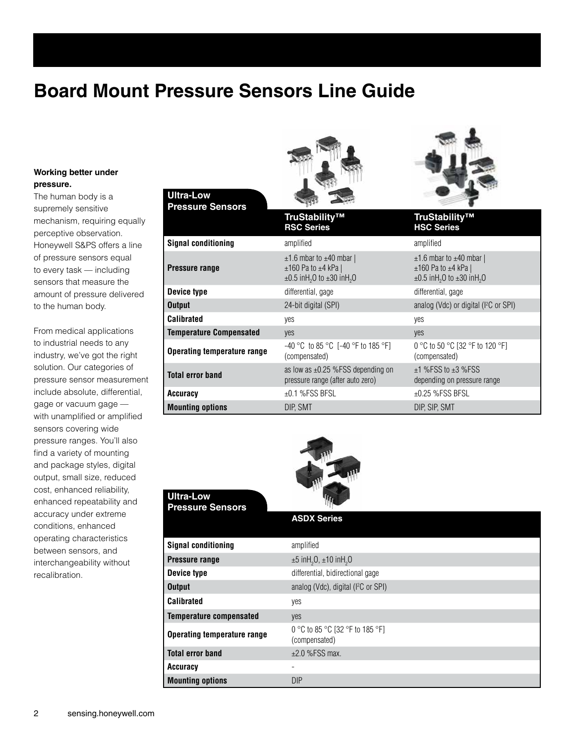### **Board Mount Pressure Sensors Line Guide**

#### **Working better under pressure.**

The human body is a supremely sensitive mechanism, requiring equally perceptive observation. Honeywell S&PS offers a line of pressure sensors equal to every task — including sensors that measure the amount of pressure delivered to the human body.

From medical applications to industrial needs to any industry, we've got the right solution. Our categories of pressure sensor measurement include absolute, differential, gage or vacuum gage with unamplified or amplified sensors covering wide pressure ranges. You'll also find a variety of mounting and package styles, digital output, small size, reduced cost, enhanced reliability, enhanced repeatability and accuracy under extreme conditions, enhanced operating characteristics between sensors, and interchangeability without recalibration.





#### 2 sensing.honeywell.com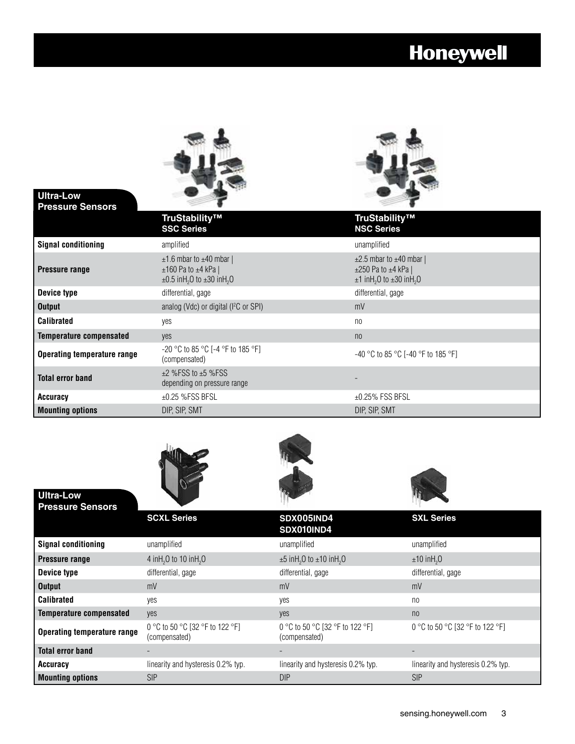

**Ultra-Low** 

**Ultra-Low** 



| <b>Pressure Sensors</b>            |                                                                                                                             |                                                                                                                                 |
|------------------------------------|-----------------------------------------------------------------------------------------------------------------------------|---------------------------------------------------------------------------------------------------------------------------------|
|                                    | TruStability™<br><b>SSC Series</b>                                                                                          | TruStability™<br><b>NSC Series</b>                                                                                              |
| <b>Signal conditioning</b>         | amplified                                                                                                                   | unamplified                                                                                                                     |
| Pressure range                     | $\pm$ 1.6 mbar to $\pm$ 40 mbar  <br>$±160$ Pa to $±4$ kPa  <br>$\pm 0.5$ inH <sub>2</sub> O to $\pm 30$ inH <sub>2</sub> O | $\pm 2.5$ mbar to $\pm 40$ mbar  <br>$\pm 250$ Pa to $\pm 4$ kPa  <br>$\pm$ 1 inH <sub>2</sub> O to $\pm$ 30 inH <sub>2</sub> O |
| Device type                        | differential, gage                                                                                                          | differential, gage                                                                                                              |
| <b>Output</b>                      | analog (Vdc) or digital (I <sup>2</sup> C or SPI)                                                                           | mV                                                                                                                              |
| <b>Calibrated</b>                  | yes                                                                                                                         | n <sub>0</sub>                                                                                                                  |
| <b>Temperature compensated</b>     | yes                                                                                                                         | n <sub>0</sub>                                                                                                                  |
| <b>Operating temperature range</b> | $-20$ °C to 85 °C [-4 °F to 185 °F]<br>(compensated)                                                                        | $-40$ °C to 85 °C [-40 °F to 185 °F]                                                                                            |
| <b>Total error band</b>            | $\pm$ 2 %FSS to $\pm$ 5 %FSS<br>depending on pressure range                                                                 |                                                                                                                                 |
| <b>Accuracy</b>                    | $\pm 0.25$ %FSS BFSL                                                                                                        | $\pm$ 0.25% FSS BFSL                                                                                                            |
| <b>Mounting options</b>            | DIP, SIP, SMT                                                                                                               | DIP, SIP, SMT                                                                                                                   |







| <b>Pressure Sensors</b>            |                                                  |                                                           |                                    |
|------------------------------------|--------------------------------------------------|-----------------------------------------------------------|------------------------------------|
|                                    | <b>SCXL Series</b>                               | SDX005IND4<br>SDX010IND4                                  | <b>SXL Series</b>                  |
| <b>Signal conditioning</b>         | unamplified                                      | unamplified                                               | unamplified                        |
| <b>Pressure range</b>              | 4 in H <sub>2</sub> O to 10 in H <sub>2</sub> O  | $\pm 5$ inH <sub>2</sub> O to $\pm 10$ inH <sub>2</sub> O | $\pm 10$ in H <sub>2</sub> O       |
| Device type                        | differential, gage                               | differential, gage                                        | differential, gage                 |
| <b>Output</b>                      | mV                                               | mV                                                        | mV                                 |
| <b>Calibrated</b>                  | ves                                              | yes                                                       | n <sub>0</sub>                     |
| <b>Temperature compensated</b>     | yes                                              | yes                                                       | n <sub>0</sub>                     |
| <b>Operating temperature range</b> | 0 °C to 50 °C [32 °F to 122 °F]<br>(compensated) | 0 °C to 50 °C [32 °F to 122 °F]<br>(compensated)          | 0 °C to 50 °C [32 °F to 122 °F]    |
| <b>Total error band</b>            |                                                  |                                                           |                                    |
| <b>Accuracy</b>                    | linearity and hysteresis 0.2% typ.               | linearity and hysteresis 0.2% typ.                        | linearity and hysteresis 0.2% typ. |
| <b>Mounting options</b>            | <b>SIP</b>                                       | <b>DIP</b>                                                | <b>SIP</b>                         |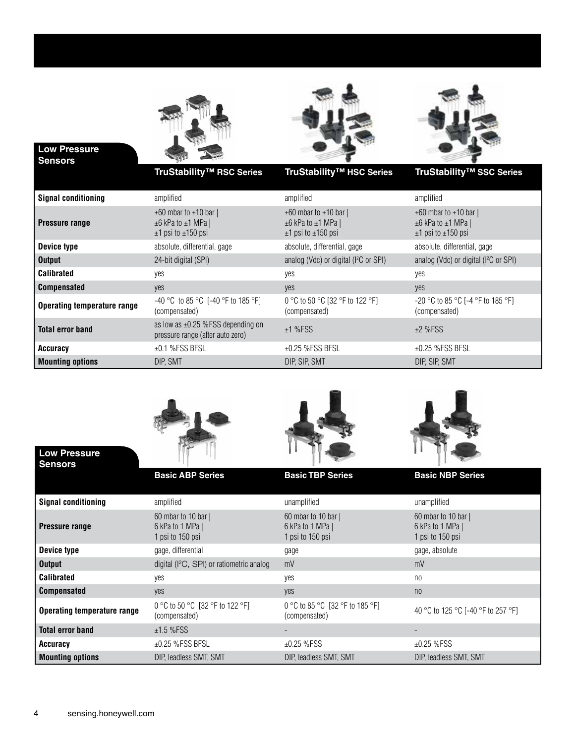

#### **Low Pressure Sensors**





| <b>Signal conditioning</b>         | amplified                                                                                       | amplified                                                                                       | amplified                                                                                       |
|------------------------------------|-------------------------------------------------------------------------------------------------|-------------------------------------------------------------------------------------------------|-------------------------------------------------------------------------------------------------|
| <b>Pressure range</b>              | $\pm 60$ mbar to $\pm 10$ bar  <br>$\pm 6$ kPa to $\pm 1$ MPa  <br>$\pm$ 1 psi to $\pm$ 150 psi | $\pm 60$ mbar to $\pm 10$ bar  <br>$\pm 6$ kPa to $\pm 1$ MPa  <br>$\pm$ 1 psi to $\pm$ 150 psi | $\pm 60$ mbar to $\pm 10$ bar  <br>$\pm 6$ kPa to $\pm 1$ MPa  <br>$\pm$ 1 psi to $\pm$ 150 psi |
| Device type                        | absolute, differential, gage                                                                    | absolute, differential, gage                                                                    | absolute, differential, gage                                                                    |
| <b>Output</b>                      | 24-bit digital (SPI)                                                                            | analog (Vdc) or digital (I <sup>2</sup> C or SPI)                                               | analog (Vdc) or digital (I <sup>2</sup> C or SPI)                                               |
| <b>Calibrated</b>                  | yes                                                                                             | yes                                                                                             | yes                                                                                             |
| <b>Compensated</b>                 | yes                                                                                             | yes                                                                                             | yes                                                                                             |
| <b>Operating temperature range</b> | $-40$ °C to 85 °C [-40 °F to 185 °F]<br>(compensated)                                           | 0 °C to 50 °C [32 °F to 122 °F]<br>(compensated)                                                | $-20$ °C to 85 °C [-4 °F to 185 °F]<br>(compensated)                                            |
| <b>Total error band</b>            | as low as $\pm 0.25$ %FSS depending on<br>pressure range (after auto zero)                      | $±1$ %FSS                                                                                       | $±2$ %FSS                                                                                       |
| Accuracy                           | $±0.1$ %FSS BFSL                                                                                | $\pm$ 0.25 %FSS BFSL                                                                            | $\pm$ 0.25 %FSS BFSL                                                                            |
| <b>Mounting options</b>            | DIP. SMT                                                                                        | DIP. SIP. SMT                                                                                   | DIP, SIP, SMT                                                                                   |



|                                    | <b>Basic ABP Series</b>                                       | <b>Basic TBP Series</b>                                     | <b>Basic NBP Series</b>                                   |
|------------------------------------|---------------------------------------------------------------|-------------------------------------------------------------|-----------------------------------------------------------|
| <b>Signal conditioning</b>         | amplified                                                     | unamplified                                                 | unamplified                                               |
| <b>Pressure range</b>              | 60 mbar to 10 bar $ $<br>6 kPa to 1 MPa  <br>1 psi to 150 psi | 60 mbar to 10 bar  <br>6 kPa to 1 MPa  <br>1 psi to 150 psi | 60 mbar to 10 bar<br>6 kPa to 1 MPa  <br>1 psi to 150 psi |
| Device type                        | gage, differential                                            | gage                                                        | gage, absolute                                            |
| <b>Output</b>                      | digital ( ${}^{12}C$ , SPI) or ratiometric analog             | mV                                                          | mV                                                        |
| <b>Calibrated</b>                  | yes                                                           | yes                                                         | no                                                        |
| <b>Compensated</b>                 | yes                                                           | yes                                                         | n <sub>0</sub>                                            |
| <b>Operating temperature range</b> | 0 °C to 50 °C [32 °F to 122 °F]<br>(compensated)              | 0 °C to 85 °C [32 °F to 185 °F]<br>(compensated)            | 40 °C to 125 °C [-40 °F to 257 °F]                        |
| <b>Total error band</b>            | $±1.5$ %FSS                                                   |                                                             |                                                           |
| Accuracy                           | $\pm 0.25$ %FSS BFSL                                          | $±0.25$ %FSS                                                | $±0.25$ %FSS                                              |
| <b>Mounting options</b>            | DIP, leadless SMT, SMT                                        | DIP. leadless SMT. SMT                                      | DIP, leadless SMT, SMT                                    |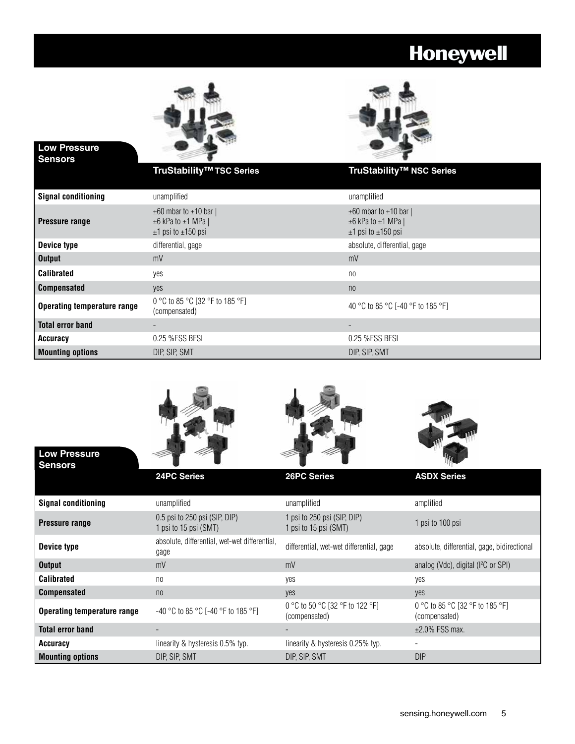

**Low Pressure** 



| <b>Sensors</b>                     |                                                                                                 |                                                                                           |
|------------------------------------|-------------------------------------------------------------------------------------------------|-------------------------------------------------------------------------------------------|
|                                    | TruStability <sup>™</sup> TSC Series                                                            | TruStability <sup>™</sup> NSC Series                                                      |
| <b>Signal conditioning</b>         | unamplified                                                                                     | unamplified                                                                               |
| Pressure range                     | $\pm 60$ mbar to $\pm 10$ bar  <br>$\pm 6$ kPa to $\pm 1$ MPa  <br>$\pm$ 1 psi to $\pm$ 150 psi | $\pm 60$ mbar to $\pm 10$ bar  <br>$\pm 6$ kPa to $\pm 1$ MPa  <br>$±1$ psi to $±150$ psi |
| Device type                        | differential, gage                                                                              | absolute, differential, gage                                                              |
| <b>Output</b>                      | mV                                                                                              | mV                                                                                        |
| <b>Calibrated</b>                  | yes                                                                                             | no                                                                                        |
| <b>Compensated</b>                 | yes                                                                                             | n <sub>0</sub>                                                                            |
| <b>Operating temperature range</b> | 0 °C to 85 °C [32 °F to 185 °F]<br>(compensated)                                                | 40 °C to 85 °C [-40 °F to 185 °F]                                                         |
| <b>Total error band</b>            |                                                                                                 |                                                                                           |
| Accuracy                           | 0.25 % FSS BFSL                                                                                 | 0.25 %FSS BFSL                                                                            |
| <b>Mounting options</b>            | DIP, SIP, SMT                                                                                   | DIP, SIP, SMT                                                                             |



**Mounting options** DIP, SIP, SMT DIP, SIP, SMT DIP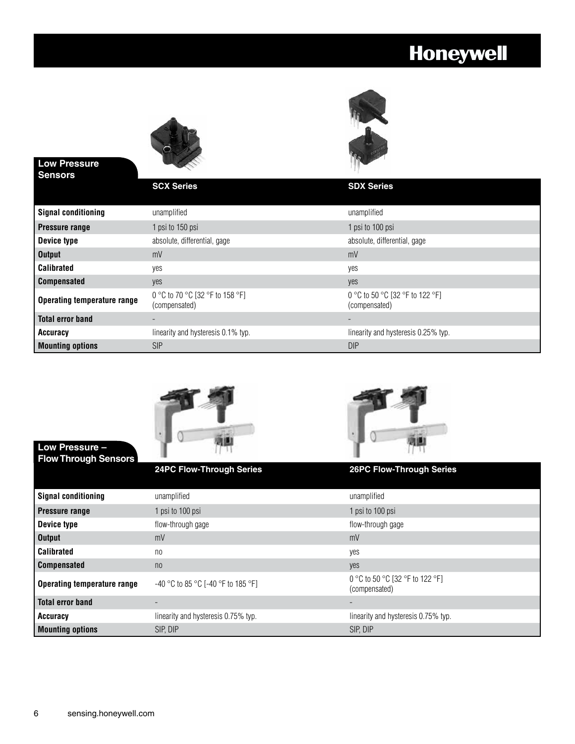

#### **Low Pressure Sensors**

**Low Pressure –**

| Sensors                            |                                                  |                                                  |
|------------------------------------|--------------------------------------------------|--------------------------------------------------|
|                                    | <b>SCX Series</b>                                | <b>SDX Series</b>                                |
| <b>Signal conditioning</b>         | unamplified                                      | unamplified                                      |
| <b>Pressure range</b>              | 1 psi to 150 psi                                 | 1 psi to 100 psi                                 |
| Device type                        | absolute, differential, gage                     | absolute, differential, gage                     |
| <b>Output</b>                      | mV                                               | mV                                               |
| <b>Calibrated</b>                  | yes                                              | yes                                              |
| <b>Compensated</b>                 | yes                                              | yes                                              |
| <b>Operating temperature range</b> | 0 °C to 70 °C [32 °F to 158 °F]<br>(compensated) | 0 °C to 50 °C [32 °F to 122 °F]<br>(compensated) |
| <b>Total error band</b>            |                                                  |                                                  |
| Accuracy                           | linearity and hysteresis 0.1% typ.               | linearity and hysteresis 0.25% typ.              |
| <b>Mounting options</b>            | <b>SIP</b>                                       | DIP                                              |





| <b>Flow Through Sensors</b>        |                                      |                                                  |
|------------------------------------|--------------------------------------|--------------------------------------------------|
|                                    | <b>24PC Flow-Through Series</b>      | <b>26PC Flow-Through Series</b>                  |
| <b>Signal conditioning</b>         | unamplified                          | unamplified                                      |
| <b>Pressure range</b>              | 1 psi to 100 psi                     | 1 psi to 100 psi                                 |
| Device type                        | flow-through gage                    | flow-through gage                                |
| <b>Output</b>                      | mV                                   | mV                                               |
| <b>Calibrated</b>                  | n <sub>0</sub>                       | yes                                              |
| <b>Compensated</b>                 | n <sub>0</sub>                       | yes                                              |
| <b>Operating temperature range</b> | $-40$ °C to 85 °C [-40 °F to 185 °F] | 0 °C to 50 °C [32 °F to 122 °F]<br>(compensated) |
| <b>Total error band</b>            |                                      |                                                  |
| <b>Accuracy</b>                    | linearity and hysteresis 0.75% typ.  | linearity and hysteresis 0.75% typ.              |
| <b>Mounting options</b>            | SIP. DIP                             | SIP. DIP                                         |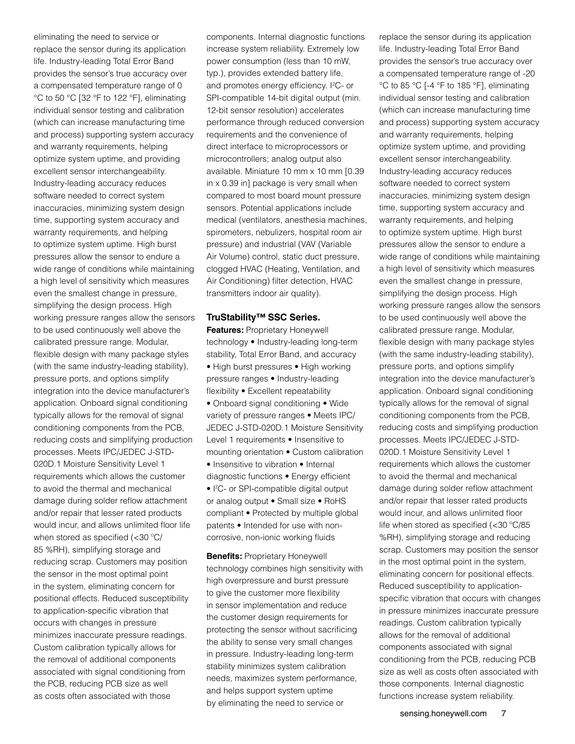eliminating the need to service or replace the sensor during its application life. Industry-leading Total Error Band provides the sensor's true accuracy over a compensated temperature range of 0 °C to 50 °C [32 °F to 122 °F], eliminating individual sensor testing and calibration (which can increase manufacturing time and process) supporting system accuracy and warranty requirements, helping optimize system uptime, and providing excellent sensor interchangeability. Industry-leading accuracy reduces software needed to correct system inaccuracies, minimizing system design time, supporting system accuracy and warranty requirements, and helping to optimize system uptime. High burst pressures allow the sensor to endure a wide range of conditions while maintaining a high level of sensitivity which measures even the smallest change in pressure, simplifying the design process. High working pressure ranges allow the sensors to be used continuously well above the calibrated pressure range. Modular, flexible design with many package styles (with the same industry-leading stability), pressure ports, and options simplify integration into the device manufacturer's application. Onboard signal conditioning typically allows for the removal of signal conditioning components from the PCB, reducing costs and simplifying production processes. Meets IPC/JEDEC J-STD-020D.1 Moisture Sensitivity Level 1 requirements which allows the customer to avoid the thermal and mechanical damage during solder reflow attachment and/or repair that lesser rated products would incur, and allows unlimited floor life when stored as specified (<30 ºC/ 85 %RH), simplifying storage and reducing scrap. Customers may position the sensor in the most optimal point in the system, eliminating concern for positional effects. Reduced susceptibility to application-specific vibration that occurs with changes in pressure minimizes inaccurate pressure readings. Custom calibration typically allows for the removal of additional components associated with signal conditioning from the PCB, reducing PCB size as well as costs often associated with those

components. Internal diagnostic functions increase system reliability. Extremely low power consumption (less than 10 mW, typ.), provides extended battery life, and promotes energy efficiency. I<sup>2</sup>C- or SPI-compatible 14-bit digital output (min. 12-bit sensor resolution) accelerates performance through reduced conversion requirements and the convenience of direct interface to microprocessors or microcontrollers; analog output also available. Miniature 10 mm x 10 mm [0.39 in x 0.39 in] package is very small when compared to most board mount pressure sensors. Potential applications include medical (ventilators, anesthesia machines, spirometers, nebulizers, hospital room air pressure) and industrial (VAV (Variable Air Volume) control, static duct pressure, clogged HVAC (Heating, Ventilation, and Air Conditioning) filter detection, HVAC transmitters indoor air quality).

#### **TruStability™ SSC Series.**

**Features:** Proprietary Honeywell technology • Industry-leading long-term stability, Total Error Band, and accuracy • High burst pressures • High working pressure ranges • Industry-leading flexibility • Excellent repeatability • Onboard signal conditioning • Wide variety of pressure ranges • Meets IPC/ JEDEC J-STD-020D.1 Moisture Sensitivity Level 1 requirements • Insensitive to mounting orientation • Custom calibration • Insensitive to vibration • Internal diagnostic functions • Energy efficient • I<sup>2</sup>C- or SPI-compatible digital output or analog output • Small size • RoHS compliant • Protected by multiple global patents • Intended for use with noncorrosive, non-ionic working fluids

**Benefits: Proprietary Honeywell** technology combines high sensitivity with high overpressure and burst pressure to give the customer more flexibility in sensor implementation and reduce the customer design requirements for protecting the sensor without sacrificing the ability to sense very small changes in pressure. Industry-leading long-term stability minimizes system calibration needs, maximizes system performance, and helps support system uptime by eliminating the need to service or

replace the sensor during its application life. Industry-leading Total Error Band provides the sensor's true accuracy over a compensated temperature range of -20 °C to 85 °C [-4 °F to 185 °F], eliminating individual sensor testing and calibration (which can increase manufacturing time and process) supporting system accuracy and warranty requirements, helping optimize system uptime, and providing excellent sensor interchangeability. Industry-leading accuracy reduces software needed to correct system inaccuracies, minimizing system design time, supporting system accuracy and warranty requirements, and helping to optimize system uptime. High burst pressures allow the sensor to endure a wide range of conditions while maintaining a high level of sensitivity which measures even the smallest change in pressure, simplifying the design process. High working pressure ranges allow the sensors to be used continuously well above the calibrated pressure range. Modular, flexible design with many package styles (with the same industry-leading stability), pressure ports, and options simplify integration into the device manufacturer's application. Onboard signal conditioning typically allows for the removal of signal conditioning components from the PCB, reducing costs and simplifying production processes. Meets IPC/JEDEC J-STD-020D.1 Moisture Sensitivity Level 1 requirements which allows the customer to avoid the thermal and mechanical damage during solder reflow attachment and/or repair that lesser rated products would incur, and allows unlimited floor life when stored as specified (<30 ºC/85 %RH), simplifying storage and reducing scrap. Customers may position the sensor in the most optimal point in the system, eliminating concern for positional effects. Reduced susceptibility to applicationspecific vibration that occurs with changes in pressure minimizes inaccurate pressure readings. Custom calibration typically allows for the removal of additional components associated with signal conditioning from the PCB, reducing PCB size as well as costs often associated with those components. Internal diagnostic functions increase system reliability.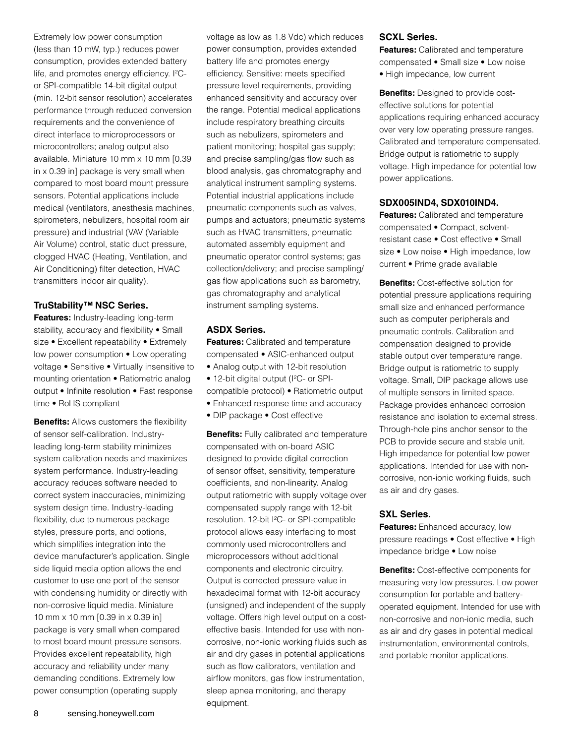Extremely low power consumption (less than 10 mW, typ.) reduces power consumption, provides extended battery life, and promotes energy efficiency. I<sup>2</sup>Cor SPI-compatible 14-bit digital output (min. 12-bit sensor resolution) accelerates performance through reduced conversion requirements and the convenience of direct interface to microprocessors or microcontrollers; analog output also available. Miniature 10 mm x 10 mm [0.39 in x 0.39 in] package is very small when compared to most board mount pressure sensors. Potential applications include medical (ventilators, anesthesia machines, spirometers, nebulizers, hospital room air pressure) and industrial (VAV (Variable Air Volume) control, static duct pressure, clogged HVAC (Heating, Ventilation, and Air Conditioning) filter detection, HVAC transmitters indoor air quality).

#### **TruStability™ NSC Series.**

**Features:** Industry-leading long-term stability, accuracy and flexibility • Small size • Excellent repeatability • Extremely low power consumption • Low operating voltage • Sensitive • Virtually insensitive to mounting orientation • Ratiometric analog output • Infinite resolution • Fast response time • RoHS compliant

**Benefits:** Allows customers the flexibility of sensor self-calibration. Industryleading long-term stability minimizes system calibration needs and maximizes system performance. Industry-leading accuracy reduces software needed to correct system inaccuracies, minimizing system design time. Industry-leading flexibility, due to numerous package styles, pressure ports, and options, which simplifies integration into the device manufacturer's application. Single side liquid media option allows the end customer to use one port of the sensor with condensing humidity or directly with non-corrosive liquid media. Miniature 10 mm x 10 mm [0.39 in x 0.39 in] package is very small when compared to most board mount pressure sensors. Provides excellent repeatability, high accuracy and reliability under many demanding conditions. Extremely low power consumption (operating supply

voltage as low as 1.8 Vdc) which reduces power consumption, provides extended battery life and promotes energy efficiency. Sensitive: meets specified pressure level requirements, providing enhanced sensitivity and accuracy over the range. Potential medical applications include respiratory breathing circuits such as nebulizers, spirometers and patient monitoring; hospital gas supply; and precise sampling/gas flow such as blood analysis, gas chromatography and analytical instrument sampling systems. Potential industrial applications include pneumatic components such as valves, pumps and actuators; pneumatic systems such as HVAC transmitters, pneumatic automated assembly equipment and pneumatic operator control systems; gas collection/delivery; and precise sampling/ gas flow applications such as barometry, gas chromatography and analytical instrument sampling systems.

#### **ASDX Series.**

**Features:** Calibrated and temperature compensated • ASIC-enhanced output

- Analog output with 12-bit resolution
- 12-bit digital output (I<sup>2</sup>C- or SPI-
- compatible protocol) Ratiometric output
- Enhanced response time and accuracy
- DIP package Cost effective

**Benefits:** Fully calibrated and temperature compensated with on-board ASIC designed to provide digital correction of sensor offset, sensitivity, temperature coefficients, and non-linearity. Analog output ratiometric with supply voltage over compensated supply range with 12-bit resolution. 12-bit <sup>2</sup>C- or SPI-compatible protocol allows easy interfacing to most commonly used microcontrollers and microprocessors without additional components and electronic circuitry. Output is corrected pressure value in hexadecimal format with 12-bit accuracy (unsigned) and independent of the supply voltage. Offers high level output on a costeffective basis. Intended for use with noncorrosive, non-ionic working fluids such as air and dry gases in potential applications such as flow calibrators, ventilation and airflow monitors, gas flow instrumentation, sleep apnea monitoring, and therapy equipment.

#### **SCXL Series.**

**Features:** Calibrated and temperature compensated • Small size • Low noise

• High impedance, low current

**Benefits:** Designed to provide costeffective solutions for potential applications requiring enhanced accuracy over very low operating pressure ranges. Calibrated and temperature compensated. Bridge output is ratiometric to supply voltage. High impedance for potential low power applications.

#### **SDX005IND4, SDX010IND4.**

**Features:** Calibrated and temperature compensated • Compact, solventresistant case • Cost effective • Small size • Low noise • High impedance, low current • Prime grade available

**Benefits:** Cost-effective solution for potential pressure applications requiring small size and enhanced performance such as computer peripherals and pneumatic controls. Calibration and compensation designed to provide stable output over temperature range. Bridge output is ratiometric to supply voltage. Small, DIP package allows use of multiple sensors in limited space. Package provides enhanced corrosion resistance and isolation to external stress. Through-hole pins anchor sensor to the PCB to provide secure and stable unit. High impedance for potential low power applications. Intended for use with noncorrosive, non-ionic working fluids, such as air and dry gases.

#### **SXL Series.**

**Features:** Enhanced accuracy, low pressure readings • Cost effective • High impedance bridge • Low noise

**Benefits:** Cost-effective components for measuring very low pressures. Low power consumption for portable and batteryoperated equipment. Intended for use with non-corrosive and non-ionic media, such as air and dry gases in potential medical instrumentation, environmental controls, and portable monitor applications.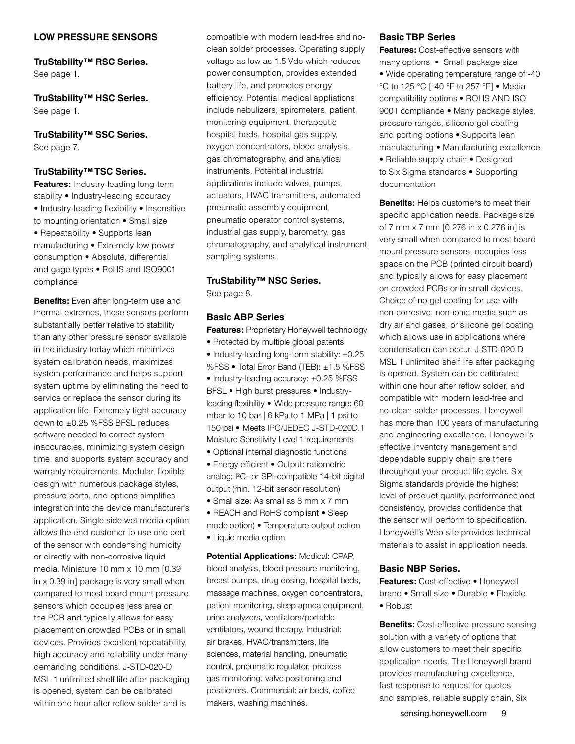#### **LOW PRESSURE SENSORS**

**TruStability™ RSC Series.** See page 1.

**TruStability™ HSC Series.**  See page 1.

### **TruStability™ SSC Series.**

See page 7.

#### **TruStability™ TSC Series.**

**Features:** Industry-leading long-term stability • Industry-leading accuracy • Industry-leading flexibility • Insensitive to mounting orientation • Small size • Repeatability • Supports lean manufacturing • Extremely low power consumption • Absolute, differential and gage types • RoHS and ISO9001 compliance

**Benefits:** Even after long-term use and thermal extremes, these sensors perform substantially better relative to stability than any other pressure sensor available in the industry today which minimizes system calibration needs, maximizes system performance and helps support system uptime by eliminating the need to service or replace the sensor during its application life. Extremely tight accuracy down to ±0.25 %FSS BFSL reduces software needed to correct system inaccuracies, minimizing system design time, and supports system accuracy and warranty requirements. Modular, flexible design with numerous package styles, pressure ports, and options simplifies integration into the device manufacturer's application. Single side wet media option allows the end customer to use one port of the sensor with condensing humidity or directly with non-corrosive liquid media. Miniature 10 mm x 10 mm [0.39 in x 0.39 in] package is very small when compared to most board mount pressure sensors which occupies less area on the PCB and typically allows for easy placement on crowded PCBs or in small devices. Provides excellent repeatability, high accuracy and reliability under many demanding conditions. J-STD-020-D MSL 1 unlimited shelf life after packaging is opened, system can be calibrated within one hour after reflow solder and is

compatible with modern lead-free and noclean solder processes. Operating supply voltage as low as 1.5 Vdc which reduces power consumption, provides extended battery life, and promotes energy efficiency. Potential medical appliations include nebulizers, spirometers, patient monitoring equipment, therapeutic hospital beds, hospital gas supply, oxygen concentrators, blood analysis, gas chromatography, and analytical instruments. Potential industrial applications include valves, pumps, actuators, HVAC transmitters, automated pneumatic assembly equipment, pneumatic operator control systems, industrial gas supply, barometry, gas chromatography, and analytical instrument sampling systems.

#### **TruStability™ NSC Series.**

See page 8.

#### **Basic ABP Series**

**Features:** Proprietary Honeywell technology • Protected by multiple global patents • Industry-leading long-term stability: ±0.25 %FSS • Total Error Band (TEB): ±1.5 %FSS • Industry-leading accuracy: ±0.25 %FSS BFSL • High burst pressures • Industryleading flexibility • Wide pressure range: 60 mbar to 10 bar | 6 kPa to 1 MPa | 1 psi to 150 psi • Meets IPC/JEDEC J-STD-020D.1 Moisture Sensitivity Level 1 requirements

- Optional internal diagnostic functions
- Energy efficient Output: ratiometric analog; I<sup>2</sup>C- or SPI-compatible 14-bit digital output (min. 12-bit sensor resolution)
- Small size: As small as 8 mm x 7 mm
- REACH and RoHS compliant Sleep

mode option) • Temperature output option • Liquid media option

**Potential Applications:** Medical: CPAP, blood analysis, blood pressure monitoring, breast pumps, drug dosing, hospital beds, massage machines, oxygen concentrators, patient monitoring, sleep apnea equipment, urine analyzers, ventilators/portable ventilators, wound therapy. Industrial: air brakes, HVAC/transmitters, life sciences, material handling, pneumatic control, pneumatic regulator, process gas monitoring, valve positioning and positioners. Commercial: air beds, coffee makers, washing machines.

#### **Basic TBP Series**

documentation

**Features: Cost-effective sensors with** many options • Small package size • Wide operating temperature range of -40 °C to 125 °C [-40 °F to 257 °F] • Media compatibility options • ROHS AND ISO 9001 compliance • Many package styles, pressure ranges, silicone gel coating and porting options • Supports lean manufacturing • Manufacturing excellence • Reliable supply chain • Designed to Six Sigma standards • Supporting

**Benefits:** Helps customers to meet their specific application needs. Package size of 7 mm x 7 mm [0.276 in x 0.276 in] is very small when compared to most board mount pressure sensors, occupies less space on the PCB (printed circuit board) and typically allows for easy placement on crowded PCBs or in small devices. Choice of no gel coating for use with non-corrosive, non-ionic media such as dry air and gases, or silicone gel coating which allows use in applications where condensation can occur. J-STD-020-D MSL 1 unlimited shelf life after packaging is opened. System can be calibrated within one hour after reflow solder, and compatible with modern lead-free and no-clean solder processes. Honeywell has more than 100 years of manufacturing and engineering excellence. Honeywell's effective inventory management and dependable supply chain are there throughout your product life cycle. Six Sigma standards provide the highest level of product quality, performance and consistency, provides confidence that the sensor will perform to specification. Honeywell's Web site provides technical materials to assist in application needs.

#### **Basic NBP Series.**

**Features:** Cost-effective • Honeywell brand • Small size • Durable • Flexible • Robust

**Benefits:** Cost-effective pressure sensing solution with a variety of options that allow customers to meet their specific application needs. The Honeywell brand provides manufacturing excellence, fast response to request for quotes and samples, reliable supply chain, Six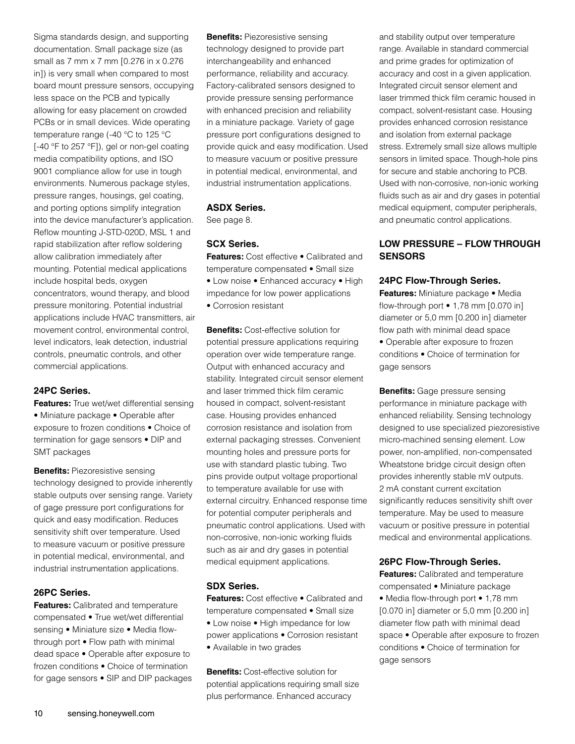Sigma standards design, and supporting documentation. Small package size (as small as 7 mm x 7 mm [0.276 in x 0.276 in]) is very small when compared to most board mount pressure sensors, occupying less space on the PCB and typically allowing for easy placement on crowded PCBs or in small devices. Wide operating temperature range (-40 °C to 125 °C [-40 °F to 257 °F]), gel or non-gel coating media compatibility options, and ISO 9001 compliance allow for use in tough environments. Numerous package styles, pressure ranges, housings, gel coating, and porting options simplify integration into the device manufacturer's application. Reflow mounting J-STD-020D, MSL 1 and rapid stabilization after reflow soldering allow calibration immediately after mounting. Potential medical applications include hospital beds, oxygen concentrators, wound therapy, and blood pressure monitoring. Potential industrial applications include HVAC transmitters, air movement control, environmental control, level indicators, leak detection, industrial controls, pneumatic controls, and other commercial applications.

#### **24PC Series.**

**Features:** True wet/wet differential sensing • Miniature package • Operable after exposure to frozen conditions • Choice of termination for gage sensors • DIP and SMT packages

**Benefits: Piezoresistive sensing** technology designed to provide inherently stable outputs over sensing range. Variety of gage pressure port configurations for quick and easy modification. Reduces sensitivity shift over temperature. Used to measure vacuum or positive pressure in potential medical, environmental, and industrial instrumentation applications.

#### **26PC Series.**

**Features:** Calibrated and temperature compensated • True wet/wet differential sensing • Miniature size • Media flowthrough port • Flow path with minimal dead space • Operable after exposure to frozen conditions • Choice of termination for gage sensors • SIP and DIP packages **Benefits: Piezoresistive sensing** technology designed to provide part interchangeability and enhanced performance, reliability and accuracy. Factory-calibrated sensors designed to provide pressure sensing performance with enhanced precision and reliability in a miniature package. Variety of gage pressure port configurations designed to provide quick and easy modification. Used to measure vacuum or positive pressure in potential medical, environmental, and industrial instrumentation applications.

#### **ASDX Series.**

See page 8.

#### **SCX Series.**

**Features:** Cost effective • Calibrated and temperature compensated • Small size • Low noise • Enhanced accuracy • High impedance for low power applications • Corrosion resistant

**Benefits:** Cost-effective solution for potential pressure applications requiring operation over wide temperature range. Output with enhanced accuracy and stability. Integrated circuit sensor element and laser trimmed thick film ceramic housed in compact, solvent-resistant case. Housing provides enhanced corrosion resistance and isolation from external packaging stresses. Convenient mounting holes and pressure ports for use with standard plastic tubing. Two pins provide output voltage proportional to temperature available for use with external circuitry. Enhanced response time for potential computer peripherals and pneumatic control applications. Used with non-corrosive, non-ionic working fluids such as air and dry gases in potential medical equipment applications.

#### **SDX Series.**

**Features:** Cost effective • Calibrated and temperature compensated • Small size • Low noise • High impedance for low power applications • Corrosion resistant • Available in two grades

**Benefits:** Cost-effective solution for potential applications requiring small size plus performance. Enhanced accuracy

and stability output over temperature range. Available in standard commercial and prime grades for optimization of accuracy and cost in a given application. Integrated circuit sensor element and laser trimmed thick film ceramic housed in compact, solvent-resistant case. Housing provides enhanced corrosion resistance and isolation from external package stress. Extremely small size allows multiple sensors in limited space. Though-hole pins for secure and stable anchoring to PCB. Used with non-corrosive, non-ionic working fluids such as air and dry gases in potential medical equipment, computer peripherals, and pneumatic control applications.

#### **LOW PRESSURE – FLOW THROUGH SENSORS**

#### **24PC Flow-Through Series.**

**Features:** Miniature package • Media flow-through port • 1,78 mm [0.070 in] diameter or 5,0 mm [0.200 in] diameter flow path with minimal dead space • Operable after exposure to frozen conditions • Choice of termination for gage sensors

**Benefits:** Gage pressure sensing performance in miniature package with enhanced reliability. Sensing technology designed to use specialized piezoresistive micro-machined sensing element. Low power, non-amplified, non-compensated Wheatstone bridge circuit design often provides inherently stable mV outputs. 2 mA constant current excitation significantly reduces sensitivity shift over temperature. May be used to measure vacuum or positive pressure in potential medical and environmental applications.

#### **26PC Flow-Through Series.**

**Features:** Calibrated and temperature compensated • Miniature package • Media flow-through port • 1,78 mm [0.070 in] diameter or 5,0 mm [0.200 in] diameter flow path with minimal dead space • Operable after exposure to frozen conditions • Choice of termination for gage sensors